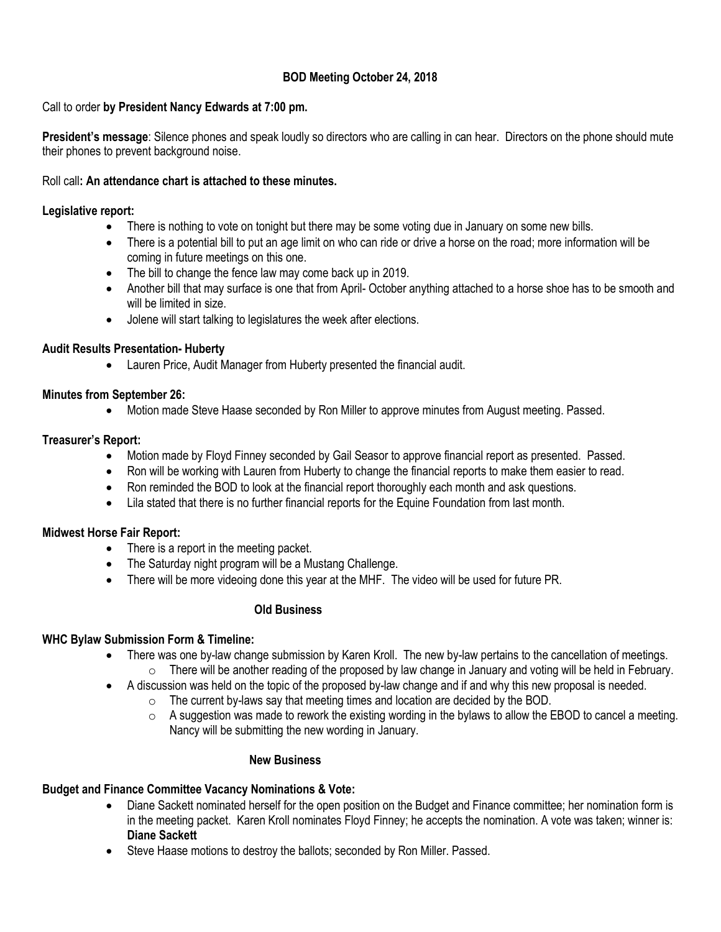# **BOD Meeting October 24, 2018**

#### Call to order **by President Nancy Edwards at 7:00 pm.**

**President's message**: Silence phones and speak loudly so directors who are calling in can hear. Directors on the phone should mute their phones to prevent background noise.

#### Roll call**: An attendance chart is attached to these minutes.**

#### **Legislative report:**

- There is nothing to vote on tonight but there may be some voting due in January on some new bills.
- There is a potential bill to put an age limit on who can ride or drive a horse on the road; more information will be coming in future meetings on this one.
- The bill to change the fence law may come back up in 2019.
- Another bill that may surface is one that from April- October anything attached to a horse shoe has to be smooth and will be limited in size.
- Jolene will start talking to legislatures the week after elections.

## **Audit Results Presentation- Huberty**

Lauren Price, Audit Manager from Huberty presented the financial audit.

## **Minutes from September 26:**

Motion made Steve Haase seconded by Ron Miller to approve minutes from August meeting. Passed.

## **Treasurer's Report:**

- Motion made by Floyd Finney seconded by Gail Seasor to approve financial report as presented. Passed.
- Ron will be working with Lauren from Huberty to change the financial reports to make them easier to read.
- Ron reminded the BOD to look at the financial report thoroughly each month and ask questions.
- Lila stated that there is no further financial reports for the Equine Foundation from last month.

## **Midwest Horse Fair Report:**

- There is a report in the meeting packet.
- The Saturday night program will be a Mustang Challenge.
- There will be more videoing done this year at the MHF. The video will be used for future PR.

## **Old Business**

## **WHC Bylaw Submission Form & Timeline:**

- There was one by-law change submission by Karen Kroll. The new by-law pertains to the cancellation of meetings.
	- $\circ$  There will be another reading of the proposed by law change in January and voting will be held in February.
- A discussion was held on the topic of the proposed by-law change and if and why this new proposal is needed.
	- $\circ$  The current by-laws say that meeting times and location are decided by the BOD.
	- $\circ$  A suggestion was made to rework the existing wording in the bylaws to allow the EBOD to cancel a meeting. Nancy will be submitting the new wording in January.

#### **New Business**

## **Budget and Finance Committee Vacancy Nominations & Vote:**

- Diane Sackett nominated herself for the open position on the Budget and Finance committee; her nomination form is in the meeting packet. Karen Kroll nominates Floyd Finney; he accepts the nomination. A vote was taken; winner is: **Diane Sackett**
- Steve Haase motions to destroy the ballots; seconded by Ron Miller. Passed.